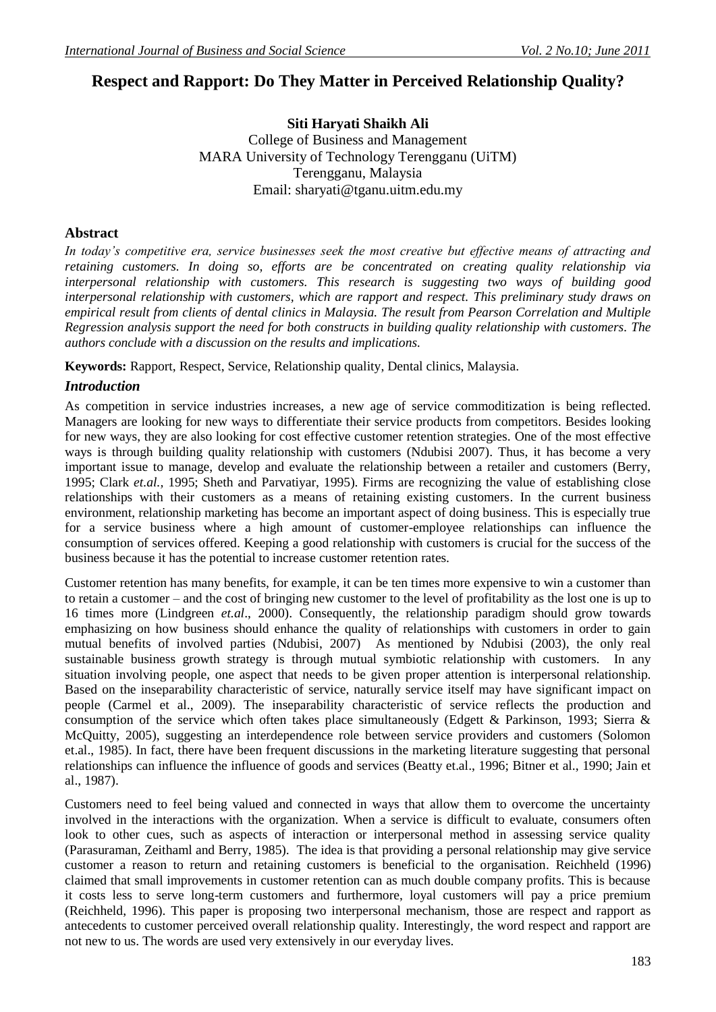# **Respect and Rapport: Do They Matter in Perceived Relationship Quality?**

### **Siti Haryati Shaikh Ali** College of Business and Management MARA University of Technology Terengganu (UiTM) Terengganu, Malaysia Email: [sharyati@tganu.uitm.edu.my](mailto:sharyati@tganu.uitm.edu.my)

#### **Abstract**

*In today's competitive era, service businesses seek the most creative but effective means of attracting and retaining customers. In doing so, efforts are be concentrated on creating quality relationship via interpersonal relationship with customers. This research is suggesting two ways of building good interpersonal relationship with customers, which are rapport and respect. This preliminary study draws on empirical result from clients of dental clinics in Malaysia. The result from Pearson Correlation and Multiple Regression analysis support the need for both constructs in building quality relationship with customers. The authors conclude with a discussion on the results and implications.* 

**Keywords:** Rapport, Respect, Service, Relationship quality, Dental clinics, Malaysia.

#### *Introduction*

As competition in service industries increases, a new age of service commoditization is being reflected. Managers are looking for new ways to differentiate their service products from competitors. Besides looking for new ways, they are also looking for cost effective customer retention strategies. One of the most effective ways is through building quality relationship with customers (Ndubisi 2007). Thus, it has become a very important issue to manage, develop and evaluate the relationship between a retailer and customers (Berry, 1995; Clark *et.al.,* 1995; Sheth and Parvatiyar, 1995). Firms are recognizing the value of establishing close relationships with their customers as a means of retaining existing customers. In the current business environment, relationship marketing has become an important aspect of doing business. This is especially true for a service business where a high amount of customer-employee relationships can influence the consumption of services offered. Keeping a good relationship with customers is crucial for the success of the business because it has the potential to increase customer retention rates.

Customer retention has many benefits, for example, it can be ten times more expensive to win a customer than to retain a customer – and the cost of bringing new customer to the level of profitability as the lost one is up to 16 times more (Lindgreen *et.al*., 2000). Consequently, the relationship paradigm should grow towards emphasizing on how business should enhance the quality of relationships with customers in order to gain mutual benefits of involved parties (Ndubisi, 2007) As mentioned by Ndubisi (2003), the only real sustainable business growth strategy is through mutual symbiotic relationship with customers. In any situation involving people, one aspect that needs to be given proper attention is interpersonal relationship. Based on the inseparability characteristic of service, naturally service itself may have significant impact on people (Carmel et al., 2009). The inseparability characteristic of service reflects the production and consumption of the service which often takes place simultaneously (Edgett & Parkinson, 1993; Sierra & McQuitty, 2005), suggesting an interdependence role between service providers and customers (Solomon et.al., 1985). In fact, there have been frequent discussions in the marketing literature suggesting that personal relationships can influence the influence of goods and services (Beatty et.al., 1996; Bitner et al., 1990; Jain et al., 1987).

Customers need to feel being valued and connected in ways that allow them to overcome the uncertainty involved in the interactions with the organization. When a service is difficult to evaluate, consumers often look to other cues, such as aspects of interaction or interpersonal method in assessing service quality (Parasuraman, Zeithaml and Berry, 1985). The idea is that providing a personal relationship may give service customer a reason to return and retaining customers is beneficial to the organisation. Reichheld (1996) claimed that small improvements in customer retention can as much double company profits. This is because it costs less to serve long-term customers and furthermore, loyal customers will pay a price premium (Reichheld, 1996). This paper is proposing two interpersonal mechanism, those are respect and rapport as antecedents to customer perceived overall relationship quality. Interestingly, the word respect and rapport are not new to us. The words are used very extensively in our everyday lives.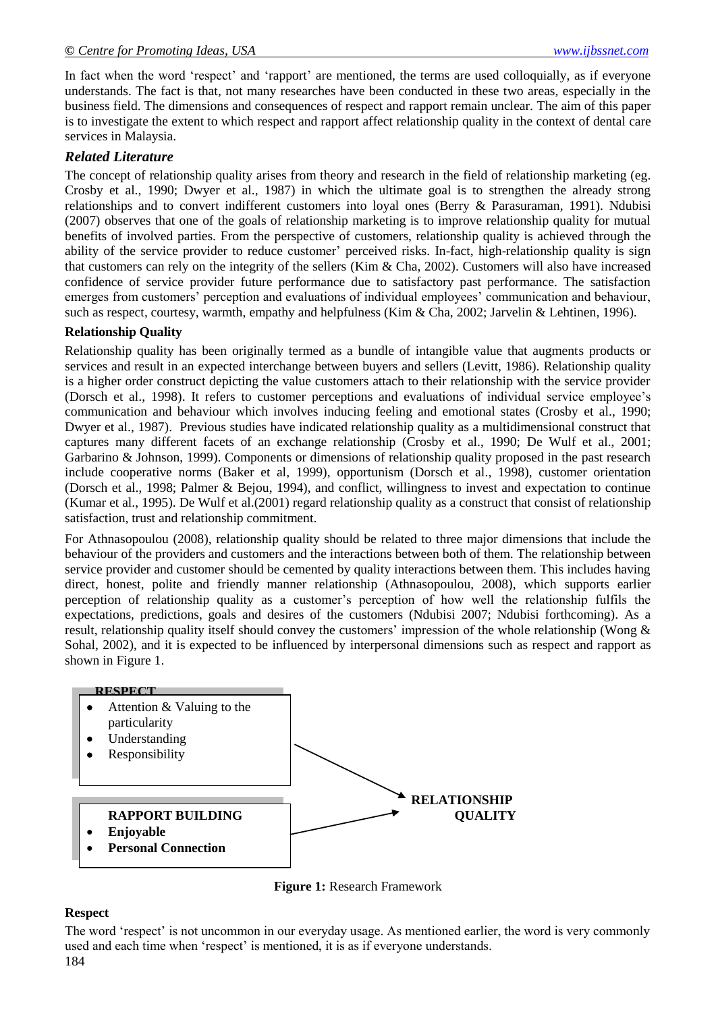In fact when the word 'respect' and 'rapport' are mentioned, the terms are used colloquially, as if everyone understands. The fact is that, not many researches have been conducted in these two areas, especially in the business field. The dimensions and consequences of respect and rapport remain unclear. The aim of this paper is to investigate the extent to which respect and rapport affect relationship quality in the context of dental care services in Malaysia.

#### *Related Literature*

The concept of relationship quality arises from theory and research in the field of relationship marketing (eg. Crosby et al., 1990; Dwyer et al., 1987) in which the ultimate goal is to strengthen the already strong relationships and to convert indifferent customers into loyal ones (Berry & Parasuraman, 1991). Ndubisi (2007) observes that one of the goals of relationship marketing is to improve relationship quality for mutual benefits of involved parties. From the perspective of customers, relationship quality is achieved through the ability of the service provider to reduce customer' perceived risks. In-fact, high-relationship quality is sign that customers can rely on the integrity of the sellers (Kim & Cha, 2002). Customers will also have increased confidence of service provider future performance due to satisfactory past performance. The satisfaction emerges from customers' perception and evaluations of individual employees' communication and behaviour, such as respect, courtesy, warmth, empathy and helpfulness (Kim & Cha, 2002; Jarvelin & Lehtinen, 1996).

#### **Relationship Quality**

Relationship quality has been originally termed as a bundle of intangible value that augments products or services and result in an expected interchange between buyers and sellers (Levitt, 1986). Relationship quality is a higher order construct depicting the value customers attach to their relationship with the service provider (Dorsch et al., 1998). It refers to customer perceptions and evaluations of individual service employee"s communication and behaviour which involves inducing feeling and emotional states (Crosby et al., 1990; Dwyer et al., 1987). Previous studies have indicated relationship quality as a multidimensional construct that captures many different facets of an exchange relationship (Crosby et al., 1990; De Wulf et al., 2001; Garbarino & Johnson, 1999). Components or dimensions of relationship quality proposed in the past research include cooperative norms (Baker et al, 1999), opportunism (Dorsch et al., 1998), customer orientation (Dorsch et al., 1998; Palmer & Bejou, 1994), and conflict, willingness to invest and expectation to continue (Kumar et al., 1995). De Wulf et al.(2001) regard relationship quality as a construct that consist of relationship satisfaction, trust and relationship commitment.

For Athnasopoulou (2008), relationship quality should be related to three major dimensions that include the behaviour of the providers and customers and the interactions between both of them. The relationship between service provider and customer should be cemented by quality interactions between them. This includes having direct, honest, polite and friendly manner relationship (Athnasopoulou, 2008), which supports earlier perception of relationship quality as a customer"s perception of how well the relationship fulfils the expectations, predictions, goals and desires of the customers (Ndubisi 2007; Ndubisi forthcoming). As a result, relationship quality itself should convey the customers' impression of the whole relationship (Wong & Sohal, 2002), and it is expected to be influenced by interpersonal dimensions such as respect and rapport as shown in Figure 1.



**Figure 1:** Research Framework

#### **Respect**

184 The word 'respect' is not uncommon in our everyday usage. As mentioned earlier, the word is very commonly used and each time when 'respect' is mentioned, it is as if everyone understands.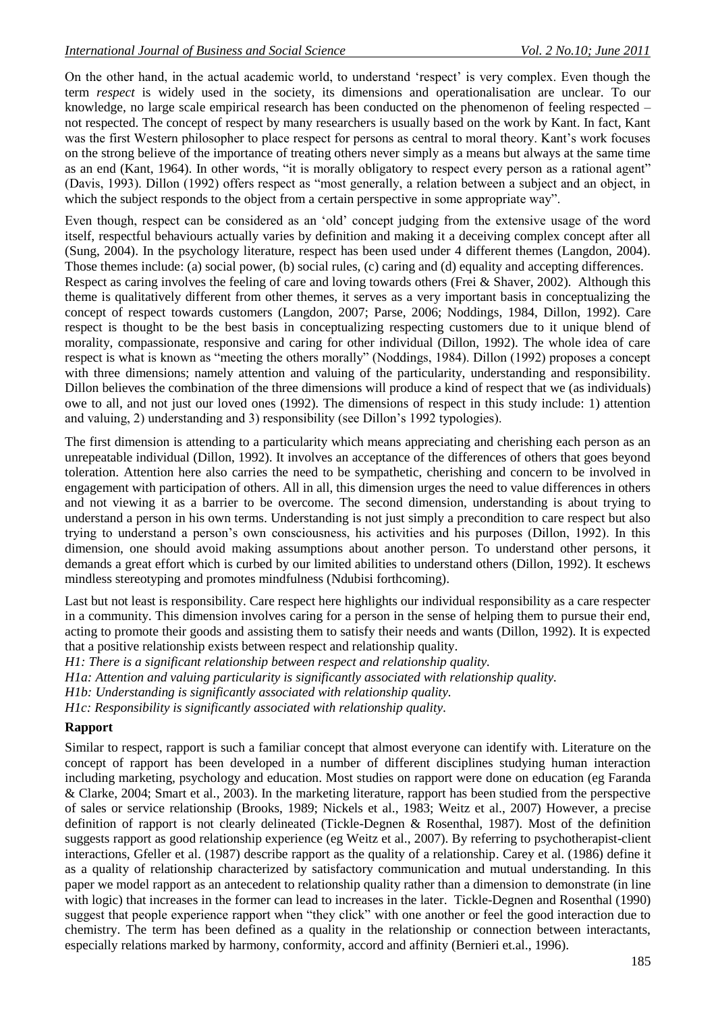On the other hand, in the actual academic world, to understand "respect" is very complex. Even though the term *respect* is widely used in the society, its dimensions and operationalisation are unclear. To our knowledge, no large scale empirical research has been conducted on the phenomenon of feeling respected – not respected. The concept of respect by many researchers is usually based on the work by Kant. In fact, Kant was the first Western philosopher to place respect for persons as central to moral theory. Kant's work focuses on the strong believe of the importance of treating others never simply as a means but always at the same time as an end (Kant, 1964). In other words, "it is morally obligatory to respect every person as a rational agent" (Davis, 1993). Dillon (1992) offers respect as "most generally, a relation between a subject and an object, in which the subject responds to the object from a certain perspective in some appropriate way".

Even though, respect can be considered as an "old" concept judging from the extensive usage of the word itself, respectful behaviours actually varies by definition and making it a deceiving complex concept after all (Sung, 2004). In the psychology literature, respect has been used under 4 different themes (Langdon, 2004). Those themes include: (a) social power, (b) social rules, (c) caring and (d) equality and accepting differences. Respect as caring involves the feeling of care and loving towards others (Frei & Shaver, 2002). Although this theme is qualitatively different from other themes, it serves as a very important basis in conceptualizing the concept of respect towards customers (Langdon, 2007; Parse, 2006; Noddings, 1984, Dillon, 1992). Care respect is thought to be the best basis in conceptualizing respecting customers due to it unique blend of morality, compassionate, responsive and caring for other individual (Dillon, 1992). The whole idea of care respect is what is known as "meeting the others morally" (Noddings, 1984). Dillon (1992) proposes a concept with three dimensions; namely attention and valuing of the particularity, understanding and responsibility. Dillon believes the combination of the three dimensions will produce a kind of respect that we (as individuals) owe to all, and not just our loved ones (1992). The dimensions of respect in this study include: 1) attention and valuing, 2) understanding and 3) responsibility (see Dillon"s 1992 typologies).

The first dimension is attending to a particularity which means appreciating and cherishing each person as an unrepeatable individual (Dillon, 1992). It involves an acceptance of the differences of others that goes beyond toleration. Attention here also carries the need to be sympathetic, cherishing and concern to be involved in engagement with participation of others. All in all, this dimension urges the need to value differences in others and not viewing it as a barrier to be overcome. The second dimension, understanding is about trying to understand a person in his own terms. Understanding is not just simply a precondition to care respect but also trying to understand a person"s own consciousness, his activities and his purposes (Dillon, 1992). In this dimension, one should avoid making assumptions about another person. To understand other persons, it demands a great effort which is curbed by our limited abilities to understand others (Dillon, 1992). It eschews mindless stereotyping and promotes mindfulness (Ndubisi forthcoming).

Last but not least is responsibility. Care respect here highlights our individual responsibility as a care respecter in a community. This dimension involves caring for a person in the sense of helping them to pursue their end, acting to promote their goods and assisting them to satisfy their needs and wants (Dillon, 1992). It is expected that a positive relationship exists between respect and relationship quality.

*H1: There is a significant relationship between respect and relationship quality.*

*H1a: Attention and valuing particularity is significantly associated with relationship quality.*

*H1b: Understanding is significantly associated with relationship quality.*

*H1c: Responsibility is significantly associated with relationship quality.*

#### **Rapport**

Similar to respect, rapport is such a familiar concept that almost everyone can identify with. Literature on the concept of rapport has been developed in a number of different disciplines studying human interaction including marketing, psychology and education. Most studies on rapport were done on education (eg Faranda & Clarke, 2004; Smart et al., 2003). In the marketing literature, rapport has been studied from the perspective of sales or service relationship (Brooks, 1989; Nickels et al., 1983; Weitz et al., 2007) However, a precise definition of rapport is not clearly delineated (Tickle-Degnen & Rosenthal, 1987). Most of the definition suggests rapport as good relationship experience (eg Weitz et al., 2007). By referring to psychotherapist-client interactions, Gfeller et al. (1987) describe rapport as the quality of a relationship. Carey et al. (1986) define it as a quality of relationship characterized by satisfactory communication and mutual understanding. In this paper we model rapport as an antecedent to relationship quality rather than a dimension to demonstrate (in line with logic) that increases in the former can lead to increases in the later. Tickle-Degnen and Rosenthal (1990) suggest that people experience rapport when "they click" with one another or feel the good interaction due to chemistry. The term has been defined as a quality in the relationship or connection between interactants, especially relations marked by harmony, conformity, accord and affinity (Bernieri et.al., 1996).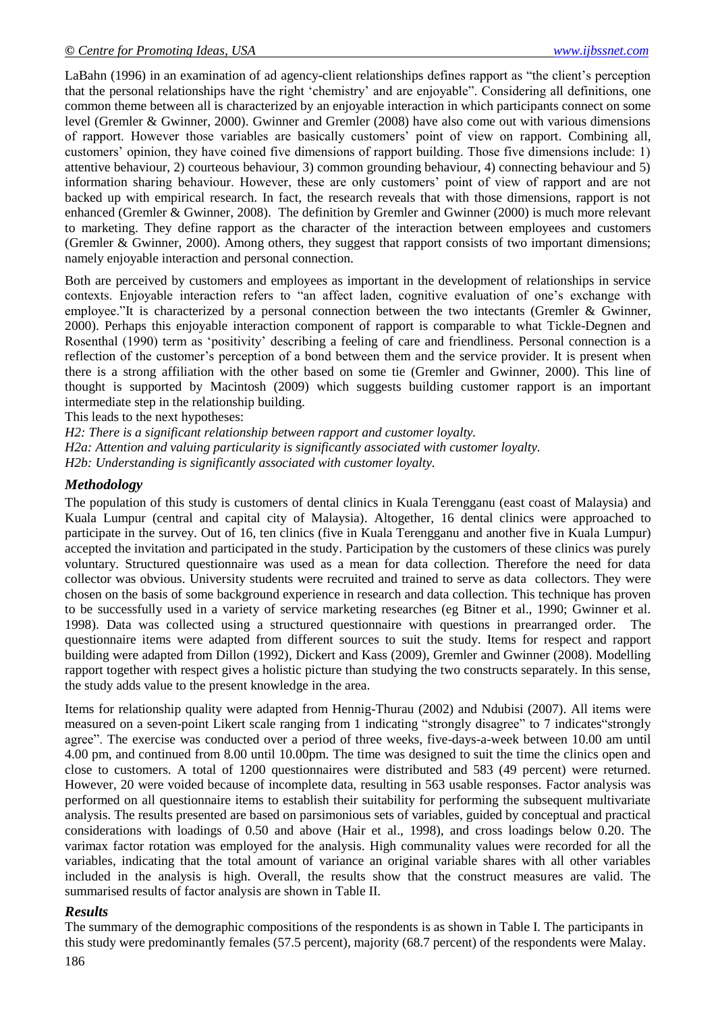LaBahn (1996) in an examination of ad agency-client relationships defines rapport as "the client"s perception that the personal relationships have the right "chemistry" and are enjoyable". Considering all definitions, one common theme between all is characterized by an enjoyable interaction in which participants connect on some level (Gremler & Gwinner, 2000). Gwinner and Gremler (2008) have also come out with various dimensions of rapport. However those variables are basically customers" point of view on rapport. Combining all, customers" opinion, they have coined five dimensions of rapport building. Those five dimensions include: 1) attentive behaviour, 2) courteous behaviour, 3) common grounding behaviour, 4) connecting behaviour and 5) information sharing behaviour. However, these are only customers" point of view of rapport and are not backed up with empirical research. In fact, the research reveals that with those dimensions, rapport is not enhanced (Gremler & Gwinner, 2008). The definition by Gremler and Gwinner (2000) is much more relevant to marketing. They define rapport as the character of the interaction between employees and customers (Gremler & Gwinner, 2000). Among others, they suggest that rapport consists of two important dimensions; namely enjoyable interaction and personal connection.

Both are perceived by customers and employees as important in the development of relationships in service contexts. Enjoyable interaction refers to "an affect laden, cognitive evaluation of one"s exchange with employee."It is characterized by a personal connection between the two intectants (Gremler & Gwinner, 2000). Perhaps this enjoyable interaction component of rapport is comparable to what Tickle-Degnen and Rosenthal (1990) term as "positivity" describing a feeling of care and friendliness. Personal connection is a reflection of the customer"s perception of a bond between them and the service provider. It is present when there is a strong affiliation with the other based on some tie (Gremler and Gwinner, 2000). This line of thought is supported by Macintosh (2009) which suggests building customer rapport is an important intermediate step in the relationship building.

This leads to the next hypotheses:

*H2: There is a significant relationship between rapport and customer loyalty. H2a: Attention and valuing particularity is significantly associated with customer loyalty. H2b: Understanding is significantly associated with customer loyalty.*

### *Methodology*

The population of this study is customers of dental clinics in Kuala Terengganu (east coast of Malaysia) and Kuala Lumpur (central and capital city of Malaysia). Altogether, 16 dental clinics were approached to participate in the survey. Out of 16, ten clinics (five in Kuala Terengganu and another five in Kuala Lumpur) accepted the invitation and participated in the study. Participation by the customers of these clinics was purely voluntary. Structured questionnaire was used as a mean for data collection. Therefore the need for data collector was obvious. University students were recruited and trained to serve as data collectors. They were chosen on the basis of some background experience in research and data collection. This technique has proven to be successfully used in a variety of service marketing researches (eg Bitner et al., 1990; Gwinner et al. 1998). Data was collected using a structured questionnaire with questions in prearranged order. The questionnaire items were adapted from different sources to suit the study. Items for respect and rapport building were adapted from Dillon (1992), Dickert and Kass (2009), Gremler and Gwinner (2008). Modelling rapport together with respect gives a holistic picture than studying the two constructs separately. In this sense, the study adds value to the present knowledge in the area.

Items for relationship quality were adapted from Hennig-Thurau (2002) and Ndubisi (2007). All items were measured on a seven-point Likert scale ranging from 1 indicating "strongly disagree" to 7 indicates"strongly agree". The exercise was conducted over a period of three weeks, five-days-a-week between 10.00 am until 4.00 pm, and continued from 8.00 until 10.00pm. The time was designed to suit the time the clinics open and close to customers. A total of 1200 questionnaires were distributed and 583 (49 percent) were returned. However, 20 were voided because of incomplete data, resulting in 563 usable responses. Factor analysis was performed on all questionnaire items to establish their suitability for performing the subsequent multivariate analysis. The results presented are based on parsimonious sets of variables, guided by conceptual and practical considerations with loadings of 0.50 and above (Hair et al., 1998), and cross loadings below 0.20. The varimax factor rotation was employed for the analysis. High communality values were recorded for all the variables, indicating that the total amount of variance an original variable shares with all other variables included in the analysis is high. Overall, the results show that the construct measures are valid. The summarised results of factor analysis are shown in Table II.

#### *Results*

186 The summary of the demographic compositions of the respondents is as shown in Table I. The participants in this study were predominantly females (57.5 percent), majority (68.7 percent) of the respondents were Malay.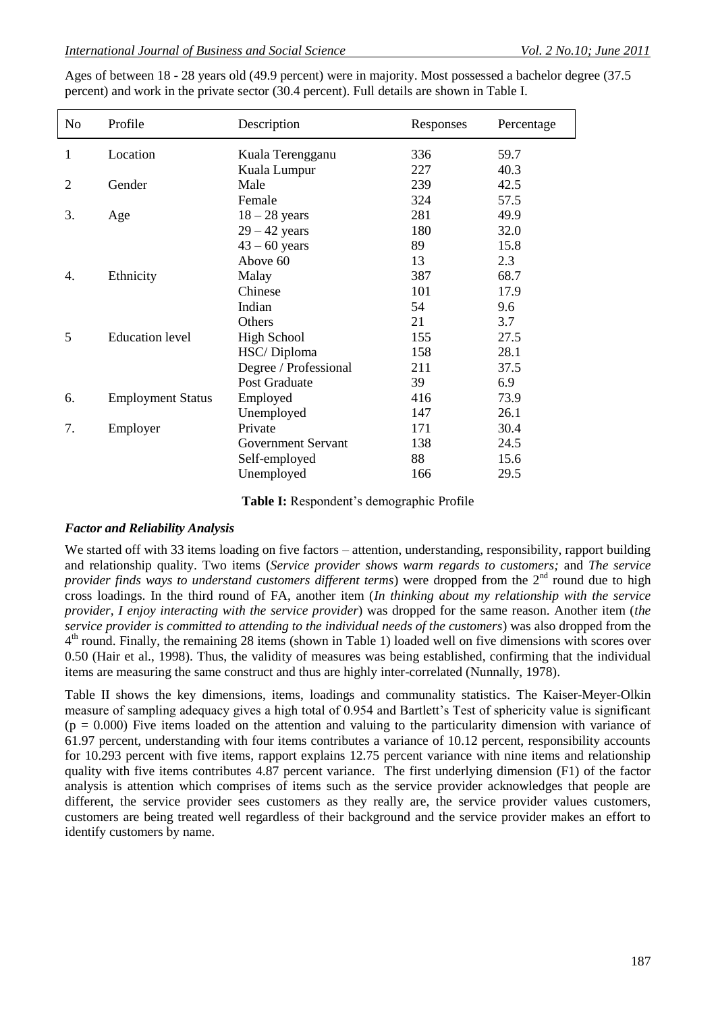Ages of between 18 - 28 years old (49.9 percent) were in majority. Most possessed a bachelor degree (37.5 percent) and work in the private sector (30.4 percent). Full details are shown in Table I.

| No | Profile                  | Description           | Responses | Percentage |
|----|--------------------------|-----------------------|-----------|------------|
| 1  | Location                 | Kuala Terengganu      | 336       | 59.7       |
|    |                          | Kuala Lumpur          | 227       | 40.3       |
| 2  | Gender                   | Male                  | 239       | 42.5       |
|    |                          | Female                | 324       | 57.5       |
| 3. | Age                      | $18 - 28$ years       | 281       | 49.9       |
|    |                          | $29 - 42$ years       | 180       | 32.0       |
|    |                          | $43 - 60$ years       | 89        | 15.8       |
|    |                          | Above 60              | 13        | 2.3        |
| 4. | Ethnicity                | Malay                 | 387       | 68.7       |
|    |                          | Chinese               | 101       | 17.9       |
|    |                          | Indian                | 54        | 9.6        |
|    |                          | Others                | 21        | 3.7        |
| 5  | <b>Education</b> level   | <b>High School</b>    | 155       | 27.5       |
|    |                          | HSC/Diploma           | 158       | 28.1       |
|    |                          | Degree / Professional | 211       | 37.5       |
|    |                          | Post Graduate         | 39        | 6.9        |
| 6. | <b>Employment Status</b> | Employed              | 416       | 73.9       |
|    |                          | Unemployed            | 147       | 26.1       |
| 7. | Employer                 | Private               | 171       | 30.4       |
|    |                          | Government Servant    | 138       | 24.5       |
|    |                          | Self-employed         | 88        | 15.6       |
|    |                          | Unemployed            | 166       | 29.5       |

Table I: Respondent's demographic Profile

#### *Factor and Reliability Analysis*

We started off with 33 items loading on five factors – attention, understanding, responsibility, rapport building and relationship quality. Two items (*Service provider shows warm regards to customers;* and *The service provider finds ways to understand customers different terms*) were dropped from the 2<sup>nd</sup> round due to high cross loadings. In the third round of FA, another item (*In thinking about my relationship with the service provider, I enjoy interacting with the service provider*) was dropped for the same reason. Another item (*the service provider is committed to attending to the individual needs of the customers*) was also dropped from the 4<sup>th</sup> round. Finally, the remaining 28 items (shown in Table 1) loaded well on five dimensions with scores over 0.50 (Hair et al., 1998). Thus, the validity of measures was being established, confirming that the individual items are measuring the same construct and thus are highly inter-correlated (Nunnally, 1978).

Table II shows the key dimensions, items, loadings and communality statistics. The Kaiser-Meyer-Olkin measure of sampling adequacy gives a high total of 0.954 and Bartlett"s Test of sphericity value is significant  $(p = 0.000)$  Five items loaded on the attention and valuing to the particularity dimension with variance of 61.97 percent, understanding with four items contributes a variance of 10.12 percent, responsibility accounts for 10.293 percent with five items, rapport explains 12.75 percent variance with nine items and relationship quality with five items contributes 4.87 percent variance. The first underlying dimension (F1) of the factor analysis is attention which comprises of items such as the service provider acknowledges that people are different, the service provider sees customers as they really are, the service provider values customers, customers are being treated well regardless of their background and the service provider makes an effort to identify customers by name.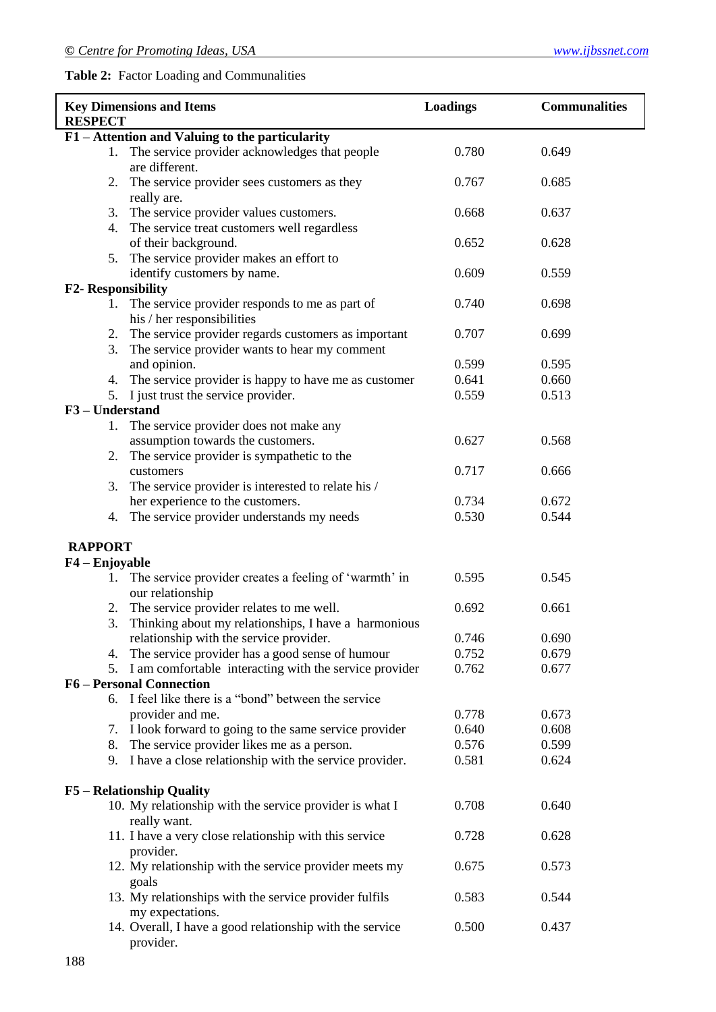# **Table 2:** Factor Loading and Communalities

| <b>RESPECT</b>            | <b>Key Dimensions and Items</b>                                                                      | <b>Loadings</b> | <b>Communalities</b> |
|---------------------------|------------------------------------------------------------------------------------------------------|-----------------|----------------------|
|                           | F1 – Attention and Valuing to the particularity                                                      |                 |                      |
|                           | 1. The service provider acknowledges that people<br>are different.                                   | 0.780           | 0.649                |
| 2.                        | The service provider sees customers as they<br>really are.                                           | 0.767           | 0.685                |
|                           | 3. The service provider values customers.<br>4. The service treat customers well regardless          | 0.668           | 0.637                |
|                           | of their background.<br>5. The service provider makes an effort to                                   | 0.652           | 0.628                |
|                           | identify customers by name.                                                                          | 0.609           | 0.559                |
| <b>F2- Responsibility</b> | 1. The service provider responds to me as part of<br>his / her responsibilities                      | 0.740           | 0.698                |
| 2.<br>3.                  | The service provider regards customers as important<br>The service provider wants to hear my comment | 0.707           | 0.699                |
|                           | and opinion.                                                                                         | 0.599<br>0.641  | 0.595<br>0.660       |
|                           | 4. The service provider is happy to have me as customer                                              |                 |                      |
|                           | 5. I just trust the service provider.                                                                | 0.559           | 0.513                |
| F3-Understand             |                                                                                                      |                 |                      |
|                           | 1. The service provider does not make any                                                            |                 |                      |
|                           | assumption towards the customers.                                                                    | 0.627           | 0.568                |
|                           | 2. The service provider is sympathetic to the                                                        |                 |                      |
|                           | customers                                                                                            | 0.717           | 0.666                |
| 3.                        | The service provider is interested to relate his /                                                   |                 |                      |
|                           | her experience to the customers.                                                                     | 0.734           | 0.672                |
|                           | 4. The service provider understands my needs                                                         | 0.530           | 0.544                |
| <b>RAPPORT</b>            |                                                                                                      |                 |                      |
| F4 - Enjoyable            |                                                                                                      |                 |                      |
| 1.                        | The service provider creates a feeling of 'warmth' in<br>our relationship                            | 0.595           | 0.545                |
| 2.                        | The service provider relates to me well.                                                             | 0.692           | 0.661                |
| 3.                        | Thinking about my relationships, I have a harmonious                                                 |                 |                      |
|                           | relationship with the service provider.                                                              | 0.746           | 0.690                |
|                           | 4. The service provider has a good sense of humour                                                   | 0.752           | 0.679                |
|                           | 5. I am comfortable interacting with the service provider                                            | 0.762           | 0.677                |
|                           | <b>F6-Personal Connection</b>                                                                        |                 |                      |
| 6.                        | I feel like there is a "bond" between the service                                                    |                 |                      |
|                           | provider and me.                                                                                     | 0.778           | 0.673                |
| 7.                        | I look forward to going to the same service provider                                                 | 0.640           | 0.608                |
| 8.                        | The service provider likes me as a person.                                                           | 0.576           | 0.599                |
| 9.                        | I have a close relationship with the service provider.                                               | 0.581           | 0.624                |
|                           | <b>F5</b> – Relationship Quality                                                                     |                 |                      |
|                           | 10. My relationship with the service provider is what I<br>really want.                              | 0.708           | 0.640                |
|                           | 11. I have a very close relationship with this service<br>provider.                                  | 0.728           | 0.628                |
|                           | 12. My relationship with the service provider meets my<br>goals                                      | 0.675           | 0.573                |
|                           | 13. My relationships with the service provider fulfils<br>my expectations.                           | 0.583           | 0.544                |
|                           | 14. Overall, I have a good relationship with the service<br>provider.                                | 0.500           | 0.437                |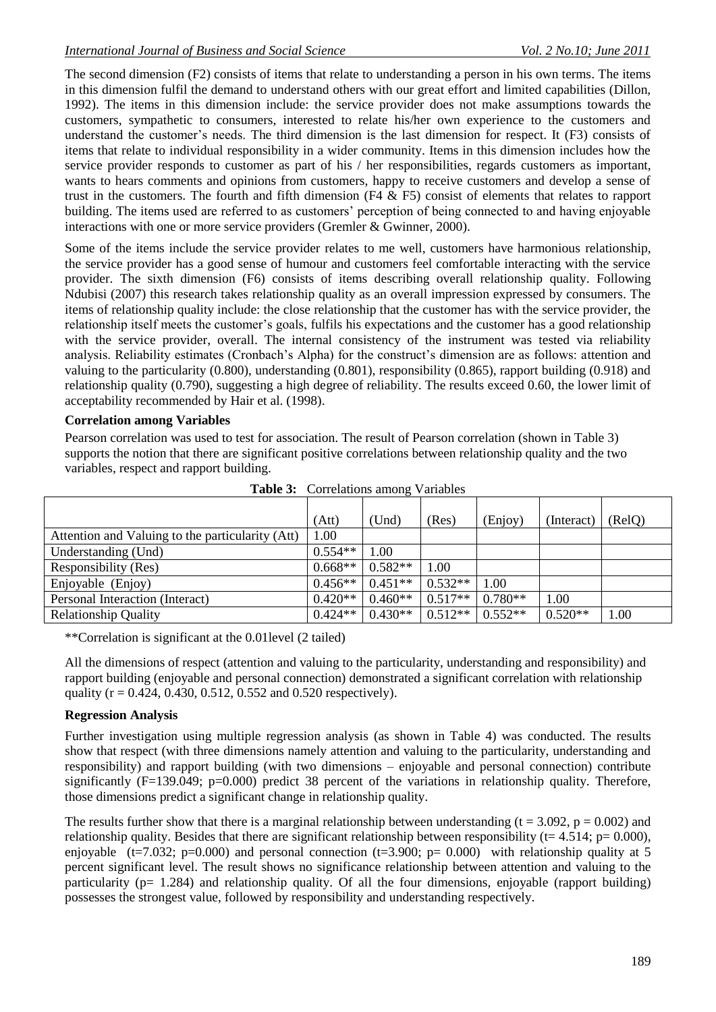The second dimension (F2) consists of items that relate to understanding a person in his own terms. The items in this dimension fulfil the demand to understand others with our great effort and limited capabilities (Dillon, 1992). The items in this dimension include: the service provider does not make assumptions towards the customers, sympathetic to consumers, interested to relate his/her own experience to the customers and understand the customer"s needs. The third dimension is the last dimension for respect. It (F3) consists of items that relate to individual responsibility in a wider community. Items in this dimension includes how the service provider responds to customer as part of his / her responsibilities, regards customers as important, wants to hears comments and opinions from customers, happy to receive customers and develop a sense of trust in the customers. The fourth and fifth dimension (F4 & F5) consist of elements that relates to rapport building. The items used are referred to as customers' perception of being connected to and having enjoyable interactions with one or more service providers (Gremler & Gwinner, 2000).

Some of the items include the service provider relates to me well, customers have harmonious relationship, the service provider has a good sense of humour and customers feel comfortable interacting with the service provider. The sixth dimension (F6) consists of items describing overall relationship quality. Following Ndubisi (2007) this research takes relationship quality as an overall impression expressed by consumers. The items of relationship quality include: the close relationship that the customer has with the service provider, the relationship itself meets the customer"s goals, fulfils his expectations and the customer has a good relationship with the service provider, overall. The internal consistency of the instrument was tested via reliability analysis. Reliability estimates (Cronbach"s Alpha) for the construct"s dimension are as follows: attention and valuing to the particularity (0.800), understanding (0.801), responsibility (0.865), rapport building (0.918) and relationship quality (0.790), suggesting a high degree of reliability. The results exceed 0.60, the lower limit of acceptability recommended by Hair et al. (1998).

### **Correlation among Variables**

Pearson correlation was used to test for association. The result of Pearson correlation (shown in Table 3) supports the notion that there are significant positive correlations between relationship quality and the two variables, respect and rapport building.

|                                                  | (Att)     | (Und)     | (Res)     | (Enjoy)   | (Interact) | (RelQ) |
|--------------------------------------------------|-----------|-----------|-----------|-----------|------------|--------|
| Attention and Valuing to the particularity (Att) | 1.00      |           |           |           |            |        |
| Understanding (Und)                              | $0.554**$ | 1.00      |           |           |            |        |
| Responsibility (Res)                             | $0.668**$ | $0.582**$ | 1.00      |           |            |        |
| Enjoyable (Enjoy)                                | $0.456**$ | $0.451**$ | $0.532**$ | 00.1      |            |        |
| Personal Interaction (Interact)                  | $0.420**$ | $0.460**$ | $0.517**$ | $0.780**$ | 1.00       |        |
| <b>Relationship Quality</b>                      | $0.424**$ | $0.430**$ | $0.512**$ | $0.552**$ | $0.520**$  | 1.00   |

**Table 3:** Correlations among Variables

\*\*Correlation is significant at the 0.01level (2 tailed)

All the dimensions of respect (attention and valuing to the particularity, understanding and responsibility) and rapport building (enjoyable and personal connection) demonstrated a significant correlation with relationship quality ( $r = 0.424$ , 0.430, 0.512, 0.552 and 0.520 respectively).

## **Regression Analysis**

Further investigation using multiple regression analysis (as shown in Table 4) was conducted. The results show that respect (with three dimensions namely attention and valuing to the particularity, understanding and responsibility) and rapport building (with two dimensions – enjoyable and personal connection) contribute significantly (F=139.049; p=0.000) predict 38 percent of the variations in relationship quality. Therefore, those dimensions predict a significant change in relationship quality.

The results further show that there is a marginal relationship between understanding ( $t = 3.092$ ,  $p = 0.002$ ) and relationship quality. Besides that there are significant relationship between responsibility ( $t= 4.514$ ;  $p= 0.000$ ), enjoyable (t=7.032; p=0.000) and personal connection (t=3.900; p= 0.000) with relationship quality at 5 percent significant level. The result shows no significance relationship between attention and valuing to the particularity (p= 1.284) and relationship quality. Of all the four dimensions, enjoyable (rapport building) possesses the strongest value, followed by responsibility and understanding respectively.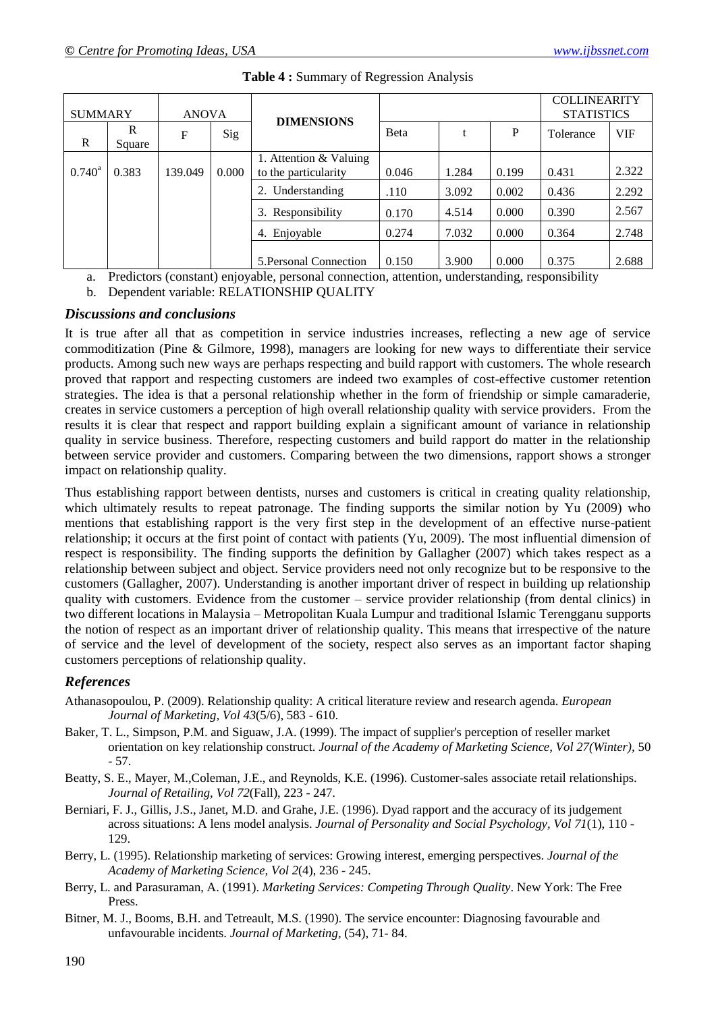| <b>SUMMARY</b>  |             | <b>ANOVA</b> |       | <b>DIMENSIONS</b>                              |              |       |       | <b>COLLINEARITY</b><br><b>STATISTICS</b> |            |
|-----------------|-------------|--------------|-------|------------------------------------------------|--------------|-------|-------|------------------------------------------|------------|
| R               | R<br>Square | F            | Sig   |                                                | <b>B</b> eta |       | P     | Tolerance                                | <b>VIF</b> |
| $0.740^{\circ}$ | 0.383       | 139.049      | 0.000 | 1. Attention & Valuing<br>to the particularity | 0.046        | 1.284 | 0.199 | 0.431                                    | 2.322      |
|                 |             |              |       | Understanding                                  | .110         | 3.092 | 0.002 | 0.436                                    | 2.292      |
|                 |             |              |       | 3. Responsibility                              | 0.170        | 4.514 | 0.000 | 0.390                                    | 2.567      |
|                 |             |              |       | Enjoyable<br>4.                                | 0.274        | 7.032 | 0.000 | 0.364                                    | 2.748      |
|                 |             |              |       | 5. Personal Connection                         | 0.150        | 3.900 | 0.000 | 0.375                                    | 2.688      |

#### **Table 4 :** Summary of Regression Analysis

a. Predictors (constant) enjoyable, personal connection, attention, understanding, responsibility

b. Dependent variable: RELATIONSHIP QUALITY

#### *Discussions and conclusions*

It is true after all that as competition in service industries increases, reflecting a new age of service commoditization (Pine & Gilmore, 1998), managers are looking for new ways to differentiate their service products. Among such new ways are perhaps respecting and build rapport with customers. The whole research proved that rapport and respecting customers are indeed two examples of cost-effective customer retention strategies. The idea is that a personal relationship whether in the form of friendship or simple camaraderie, creates in service customers a perception of high overall relationship quality with service providers. From the results it is clear that respect and rapport building explain a significant amount of variance in relationship quality in service business. Therefore, respecting customers and build rapport do matter in the relationship between service provider and customers. Comparing between the two dimensions, rapport shows a stronger impact on relationship quality.

Thus establishing rapport between dentists, nurses and customers is critical in creating quality relationship, which ultimately results to repeat patronage. The finding supports the similar notion by Yu (2009) who mentions that establishing rapport is the very first step in the development of an effective nurse-patient relationship; it occurs at the first point of contact with patients (Yu, 2009). The most influential dimension of respect is responsibility. The finding supports the definition by Gallagher (2007) which takes respect as a relationship between subject and object. Service providers need not only recognize but to be responsive to the customers (Gallagher, 2007). Understanding is another important driver of respect in building up relationship quality with customers. Evidence from the customer – service provider relationship (from dental clinics) in two different locations in Malaysia – Metropolitan Kuala Lumpur and traditional Islamic Terengganu supports the notion of respect as an important driver of relationship quality. This means that irrespective of the nature of service and the level of development of the society, respect also serves as an important factor shaping customers perceptions of relationship quality.

#### *References*

- Athanasopoulou, P. (2009). Relationship quality: A critical literature review and research agenda. *European Journal of Marketing, Vol 43*(5/6), 583 - 610.
- Baker, T. L., Simpson, P.M. and Siguaw, J.A. (1999). The impact of supplier's perception of reseller market orientation on key relationship construct. *Journal of the Academy of Marketing Science, Vol 27(Winter),* 50 - 57.
- Beatty, S. E., Mayer, M.,Coleman, J.E., and Reynolds, K.E. (1996). Customer-sales associate retail relationships. *Journal of Retailing, Vol 72*(Fall), 223 - 247.
- Berniari, F. J., Gillis, J.S., Janet, M.D. and Grahe, J.E. (1996). Dyad rapport and the accuracy of its judgement across situations: A lens model analysis. *Journal of Personality and Social Psychology, Vol 71*(1), 110 - 129.
- Berry, L. (1995). Relationship marketing of services: Growing interest, emerging perspectives. *Journal of the Academy of Marketing Science, Vol 2*(4), 236 - 245.
- Berry, L. and Parasuraman, A. (1991). *Marketing Services: Competing Through Quality*. New York: The Free Press.
- Bitner, M. J., Booms, B.H. and Tetreault, M.S. (1990). The service encounter: Diagnosing favourable and unfavourable incidents. *Journal of Marketing,* (54), 71- 84.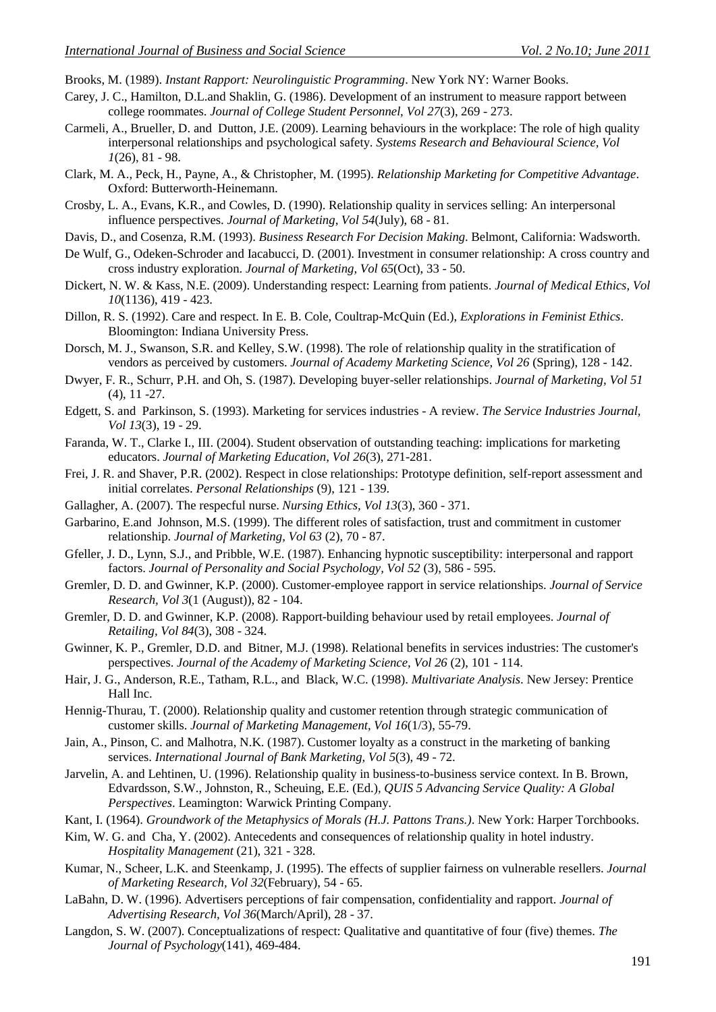Brooks, M. (1989). *Instant Rapport: Neurolinguistic Programming*. New York NY: Warner Books.

- Carey, J. C., Hamilton, D.L.and Shaklin, G. (1986). Development of an instrument to measure rapport between college roommates. *Journal of College Student Personnel, Vol 27*(3), 269 - 273.
- Carmeli, A., Brueller, D. and Dutton, J.E. (2009). Learning behaviours in the workplace: The role of high quality interpersonal relationships and psychological safety. *Systems Research and Behavioural Science, Vol 1*(26), 81 - 98.
- Clark, M. A., Peck, H., Payne, A., & Christopher, M. (1995). *Relationship Marketing for Competitive Advantage*. Oxford: Butterworth-Heinemann.
- Crosby, L. A., Evans, K.R., and Cowles, D. (1990). Relationship quality in services selling: An interpersonal influence perspectives. *Journal of Marketing, Vol 54*(July), 68 - 81.
- Davis, D., and Cosenza, R.M. (1993). *Business Research For Decision Making*. Belmont, California: Wadsworth.
- De Wulf, G., Odeken-Schroder and Iacabucci, D. (2001). Investment in consumer relationship: A cross country and cross industry exploration. *Journal of Marketing, Vol 65*(Oct), 33 - 50.
- Dickert, N. W. & Kass, N.E. (2009). Understanding respect: Learning from patients. *Journal of Medical Ethics, Vol 10*(1136), 419 - 423.
- Dillon, R. S. (1992). Care and respect. In E. B. Cole, Coultrap-McQuin (Ed.), *Explorations in Feminist Ethics*. Bloomington: Indiana University Press.
- Dorsch, M. J., Swanson, S.R. and Kelley, S.W. (1998). The role of relationship quality in the stratification of vendors as perceived by customers. *Journal of Academy Marketing Science, Vol 26* (Spring), 128 - 142.
- Dwyer, F. R., Schurr, P.H. and Oh, S. (1987). Developing buyer-seller relationships. *Journal of Marketing, Vol 51* (4), 11 -27.
- Edgett, S. and Parkinson, S. (1993). Marketing for services industries A review. *The Service Industries Journal, Vol 13*(3), 19 - 29.
- Faranda, W. T., Clarke I., III. (2004). Student observation of outstanding teaching: implications for marketing educators. *Journal of Marketing Education, Vol 26*(3), 271-281.
- Frei, J. R. and Shaver, P.R. (2002). Respect in close relationships: Prototype definition, self-report assessment and initial correlates. *Personal Relationships* (9), 121 - 139.
- Gallagher, A. (2007). The respecful nurse. *Nursing Ethics, Vol 13*(3), 360 371.
- Garbarino, E.and Johnson, M.S. (1999). The different roles of satisfaction, trust and commitment in customer relationship. *Journal of Marketing, Vol 63* (2), 70 - 87.
- Gfeller, J. D., Lynn, S.J., and Pribble, W.E. (1987). Enhancing hypnotic susceptibility: interpersonal and rapport factors. *Journal of Personality and Social Psychology, Vol 52* (3), 586 - 595.
- Gremler, D. D. and Gwinner, K.P. (2000). Customer-employee rapport in service relationships. *Journal of Service Research, Vol 3*(1 (August)), 82 - 104.
- Gremler, D. D. and Gwinner, K.P. (2008). Rapport-building behaviour used by retail employees. *Journal of Retailing, Vol 84*(3), 308 - 324.
- Gwinner, K. P., Gremler, D.D. and Bitner, M.J. (1998). Relational benefits in services industries: The customer's perspectives. *Journal of the Academy of Marketing Science, Vol 26* (2), 101 - 114.
- Hair, J. G., Anderson, R.E., Tatham, R.L., and Black, W.C. (1998). *Multivariate Analysis*. New Jersey: Prentice Hall Inc.
- Hennig-Thurau, T. (2000). Relationship quality and customer retention through strategic communication of customer skills. *Journal of Marketing Management, Vol 16*(1/3), 55-79.
- Jain, A., Pinson, C. and Malhotra, N.K. (1987). Customer loyalty as a construct in the marketing of banking services. *International Journal of Bank Marketing, Vol 5*(3), 49 - 72.
- Jarvelin, A. and Lehtinen, U. (1996). Relationship quality in business-to-business service context. In B. Brown, Edvardsson, S.W., Johnston, R., Scheuing, E.E. (Ed.), *QUIS 5 Advancing Service Quality: A Global Perspectives*. Leamington: Warwick Printing Company.
- Kant, I. (1964). *Groundwork of the Metaphysics of Morals (H.J. Pattons Trans.)*. New York: Harper Torchbooks.
- Kim, W. G. and Cha, Y. (2002). Antecedents and consequences of relationship quality in hotel industry. *Hospitality Management* (21), 321 - 328.
- Kumar, N., Scheer, L.K. and Steenkamp, J. (1995). The effects of supplier fairness on vulnerable resellers. *Journal of Marketing Research, Vol 32*(February), 54 - 65.
- LaBahn, D. W. (1996). Advertisers perceptions of fair compensation, confidentiality and rapport. *Journal of Advertising Research, Vol 36*(March/April), 28 - 37.
- Langdon, S. W. (2007). Conceptualizations of respect: Qualitative and quantitative of four (five) themes. *The Journal of Psychology*(141), 469-484.